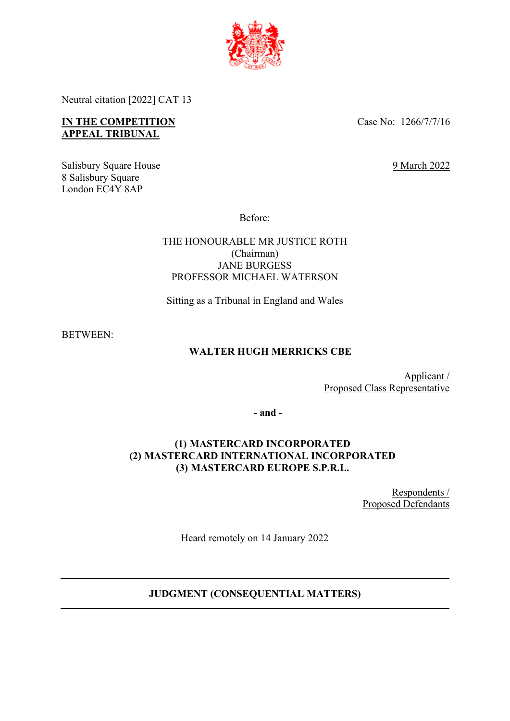

Neutral citation [2022] CAT 13

# **IN THE COMPETITION APPEAL TRIBUNAL**

Case No: 1266/7/7/16

9 March 2022

Salisbury Square House 8 Salisbury Square London EC4Y 8AP

Before:

THE HONOURABLE MR JUSTICE ROTH (Chairman) JANE BURGESS PROFESSOR MICHAEL WATERSON

Sitting as a Tribunal in England and Wales

BETWEEN:

# **WALTER HUGH MERRICKS CBE**

Applicant / Proposed Class Representative

**- and -**

# **(1) MASTERCARD INCORPORATED (2) MASTERCARD INTERNATIONAL INCORPORATED (3) MASTERCARD EUROPE S.P.R.L.**

Respondents / Proposed Defendants

Heard remotely on 14 January 2022

# **JUDGMENT (CONSEQUENTIAL MATTERS)**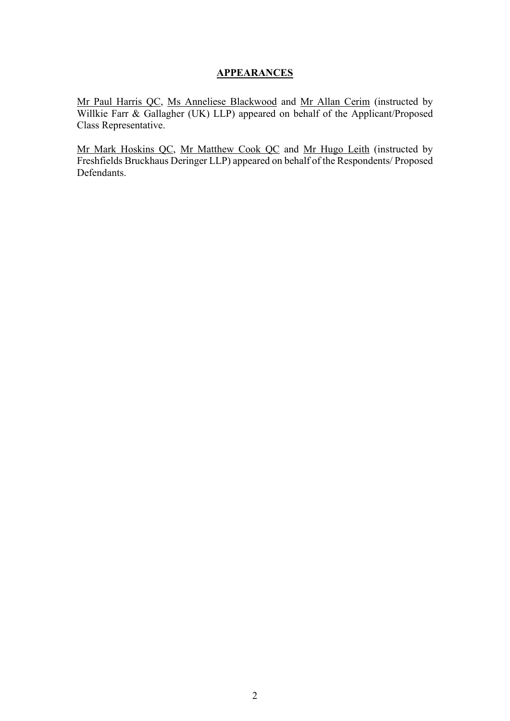### **APPEARANCES**

Mr Paul Harris QC, Ms Anneliese Blackwood and Mr Allan Cerim (instructed by Willkie Farr & Gallagher (UK) LLP) appeared on behalf of the Applicant/Proposed Class Representative.

Mr Mark Hoskins QC, Mr Matthew Cook QC and Mr Hugo Leith (instructed by Freshfields Bruckhaus Deringer LLP) appeared on behalf of the Respondents/ Proposed Defendants.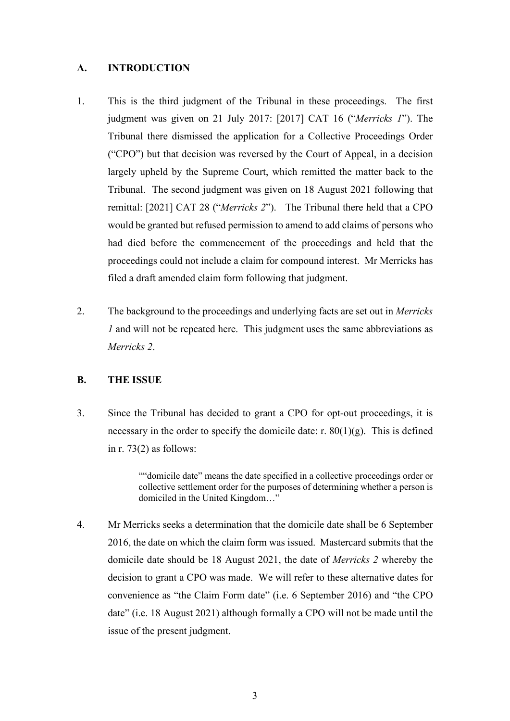### **A. INTRODUCTION**

- 1. This is the third judgment of the Tribunal in these proceedings. The first judgment was given on 21 July 2017: [2017] CAT 16 ("*Merricks 1*"). The Tribunal there dismissed the application for a Collective Proceedings Order ("CPO") but that decision was reversed by the Court of Appeal, in a decision largely upheld by the Supreme Court, which remitted the matter back to the Tribunal. The second judgment was given on 18 August 2021 following that remittal: [2021] CAT 28 ("*Merricks 2*"). The Tribunal there held that a CPO would be granted but refused permission to amend to add claims of persons who had died before the commencement of the proceedings and held that the proceedings could not include a claim for compound interest. Mr Merricks has filed a draft amended claim form following that judgment.
- 2. The background to the proceedings and underlying facts are set out in *Merricks 1* and will not be repeated here. This judgment uses the same abbreviations as *Merricks 2*.

### **B. THE ISSUE**

3. Since the Tribunal has decided to grant a CPO for opt-out proceedings, it is necessary in the order to specify the domicile date: r.  $80(1)(g)$ . This is defined in r. 73(2) as follows:

> ""domicile date" means the date specified in a collective proceedings order or collective settlement order for the purposes of determining whether a person is domiciled in the United Kingdom…"

4. Mr Merricks seeks a determination that the domicile date shall be 6 September 2016, the date on which the claim form was issued. Mastercard submits that the domicile date should be 18 August 2021, the date of *Merricks 2* whereby the decision to grant a CPO was made. We will refer to these alternative dates for convenience as "the Claim Form date" (i.e. 6 September 2016) and "the CPO date" (i.e. 18 August 2021) although formally a CPO will not be made until the issue of the present judgment.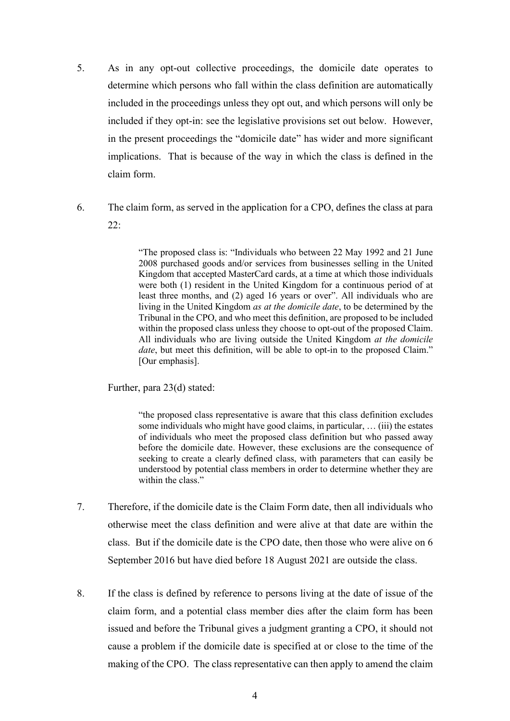- 5. As in any opt-out collective proceedings, the domicile date operates to determine which persons who fall within the class definition are automatically included in the proceedings unless they opt out, and which persons will only be included if they opt-in: see the legislative provisions set out below. However, in the present proceedings the "domicile date" has wider and more significant implications. That is because of the way in which the class is defined in the claim form.
- 6. The claim form, as served in the application for a CPO, defines the class at para 22:

"The proposed class is: "Individuals who between 22 May 1992 and 21 June 2008 purchased goods and/or services from businesses selling in the United Kingdom that accepted MasterCard cards, at a time at which those individuals were both (1) resident in the United Kingdom for a continuous period of at least three months, and (2) aged 16 years or over". All individuals who are living in the United Kingdom *as at the domicile date*, to be determined by the Tribunal in the CPO, and who meet this definition, are proposed to be included within the proposed class unless they choose to opt-out of the proposed Claim. All individuals who are living outside the United Kingdom *at the domicile date*, but meet this definition, will be able to opt-in to the proposed Claim." [Our emphasis].

Further, para 23(d) stated:

"the proposed class representative is aware that this class definition excludes some individuals who might have good claims, in particular, … (iii) the estates of individuals who meet the proposed class definition but who passed away before the domicile date. However, these exclusions are the consequence of seeking to create a clearly defined class, with parameters that can easily be understood by potential class members in order to determine whether they are within the class."

- 7. Therefore, if the domicile date is the Claim Form date, then all individuals who otherwise meet the class definition and were alive at that date are within the class. But if the domicile date is the CPO date, then those who were alive on 6 September 2016 but have died before 18 August 2021 are outside the class.
- 8. If the class is defined by reference to persons living at the date of issue of the claim form, and a potential class member dies after the claim form has been issued and before the Tribunal gives a judgment granting a CPO, it should not cause a problem if the domicile date is specified at or close to the time of the making of the CPO. The class representative can then apply to amend the claim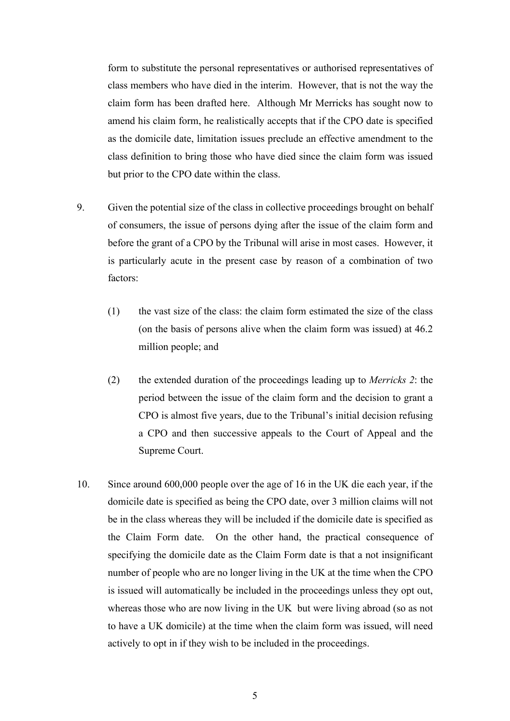form to substitute the personal representatives or authorised representatives of class members who have died in the interim. However, that is not the way the claim form has been drafted here. Although Mr Merricks has sought now to amend his claim form, he realistically accepts that if the CPO date is specified as the domicile date, limitation issues preclude an effective amendment to the class definition to bring those who have died since the claim form was issued but prior to the CPO date within the class.

- 9. Given the potential size of the class in collective proceedings brought on behalf of consumers, the issue of persons dying after the issue of the claim form and before the grant of a CPO by the Tribunal will arise in most cases. However, it is particularly acute in the present case by reason of a combination of two factors:
	- (1) the vast size of the class: the claim form estimated the size of the class (on the basis of persons alive when the claim form was issued) at 46.2 million people; and
	- (2) the extended duration of the proceedings leading up to *Merricks 2*: the period between the issue of the claim form and the decision to grant a CPO is almost five years, due to the Tribunal's initial decision refusing a CPO and then successive appeals to the Court of Appeal and the Supreme Court.
- 10. Since around 600,000 people over the age of 16 in the UK die each year, if the domicile date is specified as being the CPO date, over 3 million claims will not be in the class whereas they will be included if the domicile date is specified as the Claim Form date. On the other hand, the practical consequence of specifying the domicile date as the Claim Form date is that a not insignificant number of people who are no longer living in the UK at the time when the CPO is issued will automatically be included in the proceedings unless they opt out, whereas those who are now living in the UK but were living abroad (so as not to have a UK domicile) at the time when the claim form was issued, will need actively to opt in if they wish to be included in the proceedings.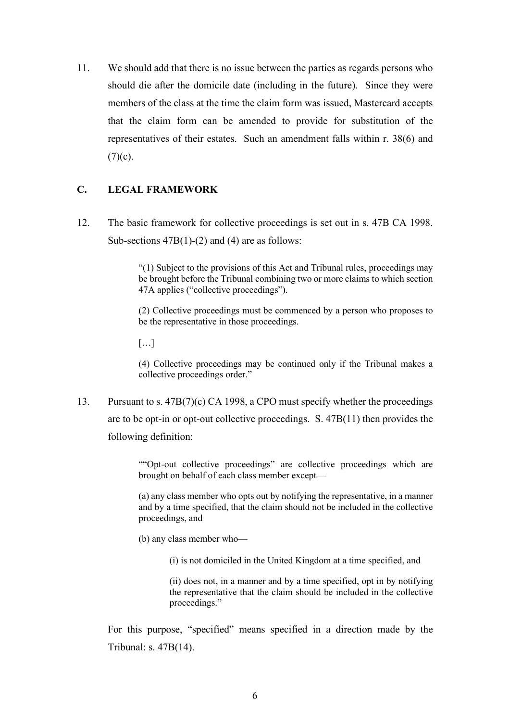11. We should add that there is no issue between the parties as regards persons who should die after the domicile date (including in the future). Since they were members of the class at the time the claim form was issued, Mastercard accepts that the claim form can be amended to provide for substitution of the representatives of their estates. Such an amendment falls within r. 38(6) and  $(7)(c)$ .

# **C. LEGAL FRAMEWORK**

12. The basic framework for collective proceedings is set out in s. 47B CA 1998. Sub-sections  $47B(1)-(2)$  and (4) are as follows:

> "(1) Subject to the provisions of this Act and Tribunal rules, proceedings may be brought before the Tribunal combining two or more claims to which section 47A applies ("collective proceedings").

> (2) Collective proceedings must be commenced by a person who proposes to be the representative in those proceedings.

 $[\ldots]$ 

(4) Collective proceedings may be continued only if the Tribunal makes a collective proceedings order."

13. Pursuant to s. 47B(7)(c) CA 1998, a CPO must specify whether the proceedings are to be opt-in or opt-out collective proceedings. S. 47B(11) then provides the following definition:

> ""Opt-out collective proceedings" are collective proceedings which are brought on behalf of each class member except—

> (a) any class member who opts out by notifying the representative, in a manner and by a time specified, that the claim should not be included in the collective proceedings, and

(b) any class member who—

(i) is not domiciled in the United Kingdom at a time specified, and

(ii) does not, in a manner and by a time specified, opt in by notifying the representative that the claim should be included in the collective proceedings."

For this purpose, "specified" means specified in a direction made by the Tribunal: s. 47B(14).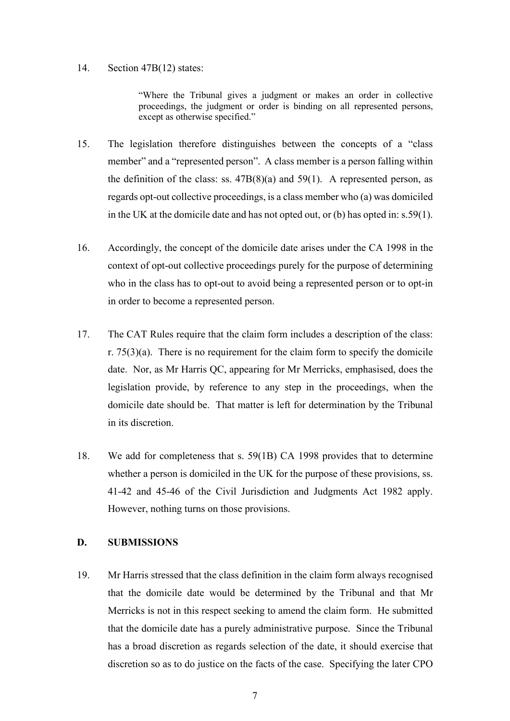#### 14. Section 47B(12) states:

"Where the Tribunal gives a judgment or makes an order in collective proceedings, the judgment or order is binding on all represented persons, except as otherwise specified."

- 15. The legislation therefore distinguishes between the concepts of a "class member" and a "represented person". A class member is a person falling within the definition of the class: ss.  $47B(8)(a)$  and  $59(1)$ . A represented person, as regards opt-out collective proceedings, is a class member who (a) was domiciled in the UK at the domicile date and has not opted out, or (b) has opted in: s.59(1).
- 16. Accordingly, the concept of the domicile date arises under the CA 1998 in the context of opt-out collective proceedings purely for the purpose of determining who in the class has to opt-out to avoid being a represented person or to opt-in in order to become a represented person.
- 17. The CAT Rules require that the claim form includes a description of the class: r.  $75(3)(a)$ . There is no requirement for the claim form to specify the domicile date. Nor, as Mr Harris QC, appearing for Mr Merricks, emphasised, does the legislation provide, by reference to any step in the proceedings, when the domicile date should be. That matter is left for determination by the Tribunal in its discretion.
- 18. We add for completeness that s. 59(1B) CA 1998 provides that to determine whether a person is domiciled in the UK for the purpose of these provisions, ss. 41-42 and 45-46 of the Civil Jurisdiction and Judgments Act 1982 apply. However, nothing turns on those provisions.

### **D. SUBMISSIONS**

19. Mr Harris stressed that the class definition in the claim form always recognised that the domicile date would be determined by the Tribunal and that Mr Merricks is not in this respect seeking to amend the claim form. He submitted that the domicile date has a purely administrative purpose. Since the Tribunal has a broad discretion as regards selection of the date, it should exercise that discretion so as to do justice on the facts of the case. Specifying the later CPO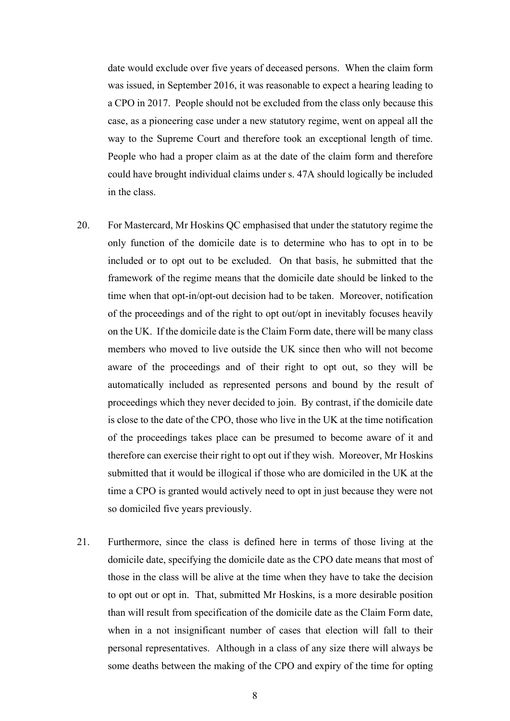date would exclude over five years of deceased persons. When the claim form was issued, in September 2016, it was reasonable to expect a hearing leading to a CPO in 2017. People should not be excluded from the class only because this case, as a pioneering case under a new statutory regime, went on appeal all the way to the Supreme Court and therefore took an exceptional length of time. People who had a proper claim as at the date of the claim form and therefore could have brought individual claims under s. 47A should logically be included in the class.

- 20. For Mastercard, Mr Hoskins QC emphasised that under the statutory regime the only function of the domicile date is to determine who has to opt in to be included or to opt out to be excluded. On that basis, he submitted that the framework of the regime means that the domicile date should be linked to the time when that opt-in/opt-out decision had to be taken. Moreover, notification of the proceedings and of the right to opt out/opt in inevitably focuses heavily on the UK. If the domicile date is the Claim Form date, there will be many class members who moved to live outside the UK since then who will not become aware of the proceedings and of their right to opt out, so they will be automatically included as represented persons and bound by the result of proceedings which they never decided to join. By contrast, if the domicile date is close to the date of the CPO, those who live in the UK at the time notification of the proceedings takes place can be presumed to become aware of it and therefore can exercise their right to opt out if they wish. Moreover, Mr Hoskins submitted that it would be illogical if those who are domiciled in the UK at the time a CPO is granted would actively need to opt in just because they were not so domiciled five years previously.
- 21. Furthermore, since the class is defined here in terms of those living at the domicile date, specifying the domicile date as the CPO date means that most of those in the class will be alive at the time when they have to take the decision to opt out or opt in. That, submitted Mr Hoskins, is a more desirable position than will result from specification of the domicile date as the Claim Form date, when in a not insignificant number of cases that election will fall to their personal representatives. Although in a class of any size there will always be some deaths between the making of the CPO and expiry of the time for opting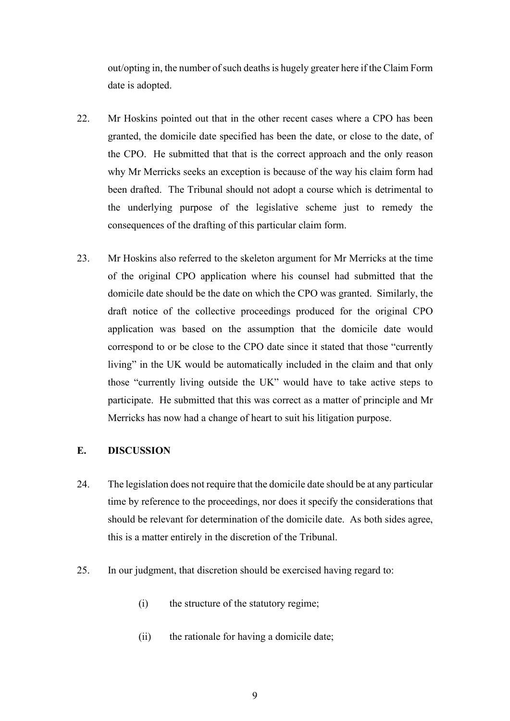out/opting in, the number of such deaths is hugely greater here if the Claim Form date is adopted.

- 22. Mr Hoskins pointed out that in the other recent cases where a CPO has been granted, the domicile date specified has been the date, or close to the date, of the CPO. He submitted that that is the correct approach and the only reason why Mr Merricks seeks an exception is because of the way his claim form had been drafted. The Tribunal should not adopt a course which is detrimental to the underlying purpose of the legislative scheme just to remedy the consequences of the drafting of this particular claim form.
- 23. Mr Hoskins also referred to the skeleton argument for Mr Merricks at the time of the original CPO application where his counsel had submitted that the domicile date should be the date on which the CPO was granted. Similarly, the draft notice of the collective proceedings produced for the original CPO application was based on the assumption that the domicile date would correspond to or be close to the CPO date since it stated that those "currently living" in the UK would be automatically included in the claim and that only those "currently living outside the UK" would have to take active steps to participate. He submitted that this was correct as a matter of principle and Mr Merricks has now had a change of heart to suit his litigation purpose.

### **E. DISCUSSION**

- 24. The legislation does not require that the domicile date should be at any particular time by reference to the proceedings, nor does it specify the considerations that should be relevant for determination of the domicile date. As both sides agree, this is a matter entirely in the discretion of the Tribunal.
- 25. In our judgment, that discretion should be exercised having regard to:
	- (i) the structure of the statutory regime;
	- (ii) the rationale for having a domicile date;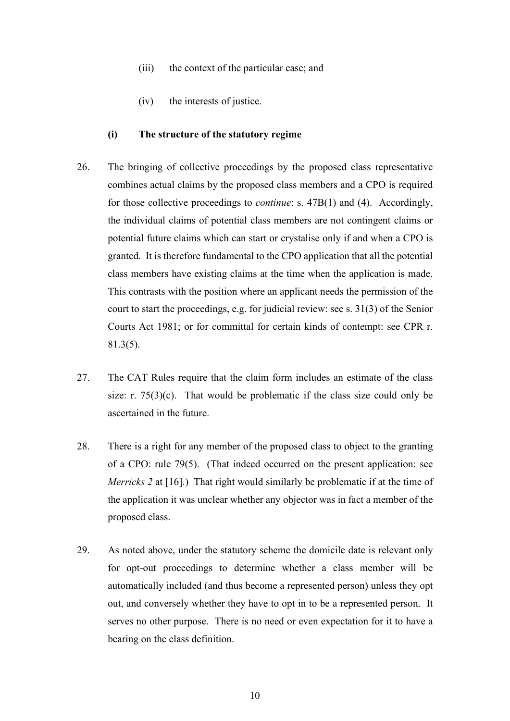- (iii) the context of the particular case; and
- (iv) the interests of justice.

#### **(i) The structure of the statutory regime**

- 26. The bringing of collective proceedings by the proposed class representative combines actual claims by the proposed class members and a CPO is required for those collective proceedings to *continue*: s. 47B(1) and (4). Accordingly, the individual claims of potential class members are not contingent claims or potential future claims which can start or crystalise only if and when a CPO is granted. It is therefore fundamental to the CPO application that all the potential class members have existing claims at the time when the application is made. This contrasts with the position where an applicant needs the permission of the court to start the proceedings, e.g. for judicial review: see s. 31(3) of the Senior Courts Act 1981; or for committal for certain kinds of contempt: see CPR r. 81.3(5).
- 27. The CAT Rules require that the claim form includes an estimate of the class size: r.  $75(3)(c)$ . That would be problematic if the class size could only be ascertained in the future.
- 28. There is a right for any member of the proposed class to object to the granting of a CPO: rule 79(5). (That indeed occurred on the present application: see *Merricks 2* at [16].) That right would similarly be problematic if at the time of the application it was unclear whether any objector was in fact a member of the proposed class.
- 29. As noted above, under the statutory scheme the domicile date is relevant only for opt-out proceedings to determine whether a class member will be automatically included (and thus become a represented person) unless they opt out, and conversely whether they have to opt in to be a represented person. It serves no other purpose. There is no need or even expectation for it to have a bearing on the class definition.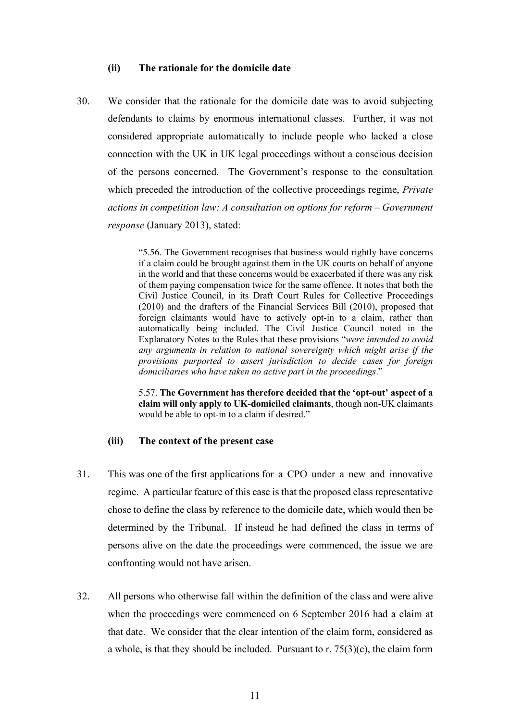#### **(ii) The rationale for the domicile date**

<span id="page-10-0"></span>30. We consider that the rationale for the domicile date was to avoid subjecting defendants to claims by enormous international classes. Further, it was not considered appropriate automatically to include people who lacked a close connection with the UK in UK legal proceedings without a conscious decision of the persons concerned. The Government's response to the consultation which preceded the introduction of the collective proceedings regime, *Private actions in competition law: A consultation on options for reform – Government response* (January 2013), stated:

> "5.56. The Government recognises that business would rightly have concerns if a claim could be brought against them in the UK courts on behalf of anyone in the world and that these concerns would be exacerbated if there was any risk of them paying compensation twice for the same offence. It notes that both the Civil Justice Council, in its Draft Court Rules for Collective Proceedings (2010) and the drafters of the Financial Services Bill (2010), proposed that foreign claimants would have to actively opt-in to a claim, rather than automatically being included. The Civil Justice Council noted in the Explanatory Notes to the Rules that these provisions "*were intended to avoid any arguments in relation to national sovereignty which might arise if the provisions purported to assert jurisdiction to decide cases for foreign domiciliaries who have taken no active part in the proceedings*."

> 5.57. **The Government has therefore decided that the 'opt-out' aspect of a claim will only apply to UK-domiciled claimants**, though non-UK claimants would be able to opt-in to a claim if desired."

#### **(iii) The context of the present case**

- 31. This was one of the first applications for a CPO under a new and innovative regime. A particular feature of this case is that the proposed class representative chose to define the class by reference to the domicile date, which would then be determined by the Tribunal. If instead he had defined the class in terms of persons alive on the date the proceedings were commenced, the issue we are confronting would not have arisen.
- 32. All persons who otherwise fall within the definition of the class and were alive when the proceedings were commenced on 6 September 2016 had a claim at that date. We consider that the clear intention of the claim form, considered as a whole, is that they should be included. Pursuant to r.  $75(3)(c)$ , the claim form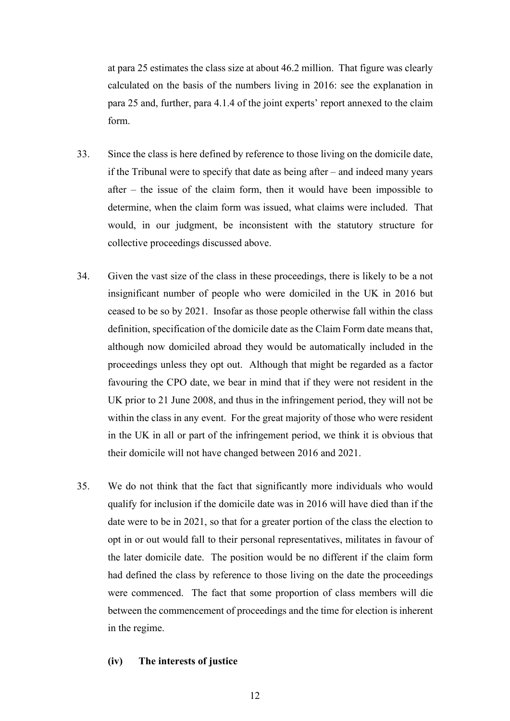at para 25 estimates the class size at about 46.2 million. That figure was clearly calculated on the basis of the numbers living in 2016: see the explanation in para 25 and, further, para 4.1.4 of the joint experts' report annexed to the claim form.

- 33. Since the class is here defined by reference to those living on the domicile date, if the Tribunal were to specify that date as being after – and indeed many years after – the issue of the claim form, then it would have been impossible to determine, when the claim form was issued, what claims were included. That would, in our judgment, be inconsistent with the statutory structure for collective proceedings discussed above.
- 34. Given the vast size of the class in these proceedings, there is likely to be a not insignificant number of people who were domiciled in the UK in 2016 but ceased to be so by 2021. Insofar as those people otherwise fall within the class definition, specification of the domicile date as the Claim Form date means that, although now domiciled abroad they would be automatically included in the proceedings unless they opt out. Although that might be regarded as a factor favouring the CPO date, we bear in mind that if they were not resident in the UK prior to 21 June 2008, and thus in the infringement period, they will not be within the class in any event. For the great majority of those who were resident in the UK in all or part of the infringement period, we think it is obvious that their domicile will not have changed between 2016 and 2021.
- 35. We do not think that the fact that significantly more individuals who would qualify for inclusion if the domicile date was in 2016 will have died than if the date were to be in 2021, so that for a greater portion of the class the election to opt in or out would fall to their personal representatives, militates in favour of the later domicile date. The position would be no different if the claim form had defined the class by reference to those living on the date the proceedings were commenced. The fact that some proportion of class members will die between the commencement of proceedings and the time for election is inherent in the regime.

#### **(iv) The interests of justice**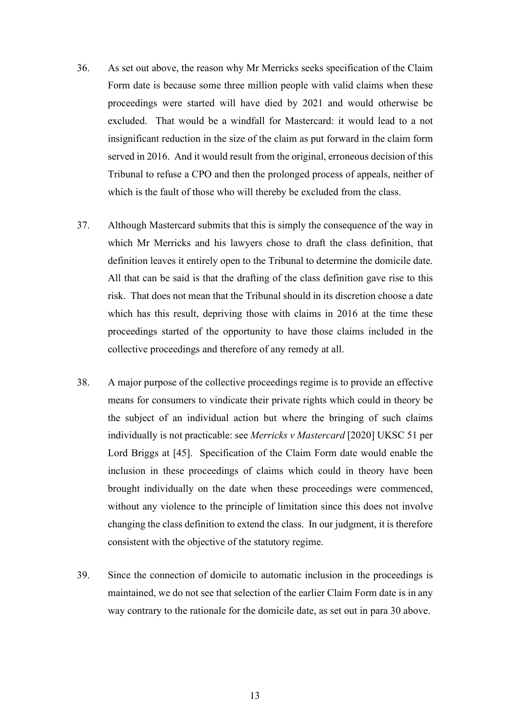- 36. As set out above, the reason why Mr Merricks seeks specification of the Claim Form date is because some three million people with valid claims when these proceedings were started will have died by 2021 and would otherwise be excluded. That would be a windfall for Mastercard: it would lead to a not insignificant reduction in the size of the claim as put forward in the claim form served in 2016. And it would result from the original, erroneous decision of this Tribunal to refuse a CPO and then the prolonged process of appeals, neither of which is the fault of those who will thereby be excluded from the class.
- 37. Although Mastercard submits that this is simply the consequence of the way in which Mr Merricks and his lawyers chose to draft the class definition, that definition leaves it entirely open to the Tribunal to determine the domicile date. All that can be said is that the drafting of the class definition gave rise to this risk. That does not mean that the Tribunal should in its discretion choose a date which has this result, depriving those with claims in 2016 at the time these proceedings started of the opportunity to have those claims included in the collective proceedings and therefore of any remedy at all.
- 38. A major purpose of the collective proceedings regime is to provide an effective means for consumers to vindicate their private rights which could in theory be the subject of an individual action but where the bringing of such claims individually is not practicable: see *Merricks v Mastercard* [2020] UKSC 51 per Lord Briggs at [45]. Specification of the Claim Form date would enable the inclusion in these proceedings of claims which could in theory have been brought individually on the date when these proceedings were commenced, without any violence to the principle of limitation since this does not involve changing the class definition to extend the class. In our judgment, it is therefore consistent with the objective of the statutory regime.
- 39. Since the connection of domicile to automatic inclusion in the proceedings is maintained, we do not see that selection of the earlier Claim Form date is in any way contrary to the rationale for the domicile date, as set out in para [30](#page-10-0) above.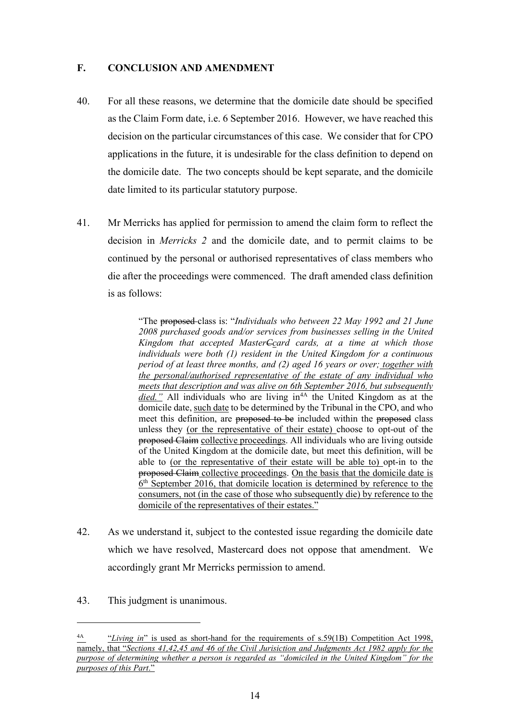### **F. CONCLUSION AND AMENDMENT**

- 40. For all these reasons, we determine that the domicile date should be specified as the Claim Form date, i.e. 6 September 2016. However, we have reached this decision on the particular circumstances of this case. We consider that for CPO applications in the future, it is undesirable for the class definition to depend on the domicile date. The two concepts should be kept separate, and the domicile date limited to its particular statutory purpose.
- 41. Mr Merricks has applied for permission to amend the claim form to reflect the decision in *Merricks 2* and the domicile date, and to permit claims to be continued by the personal or authorised representatives of class members who die after the proceedings were commenced. The draft amended class definition is as follows:

"The proposed class is: "*Individuals who between 22 May 1992 and 21 June 2008 purchased goods and/or services from businesses selling in the United Kingdom that accepted MasterCcard cards, at a time at which those individuals were both (1) resident in the United Kingdom for a continuous period of at least three months, and (2) aged 16 years or over; together with the personal/authorised representative of the estate of any individual who meets that description and was alive on 6th September 2016, but subsequently died.*" All individuals who are living in<sup>[4A](#page-13-0)</sup> the United Kingdom as at the domicile date, such date to be determined by the Tribunal in the CPO, and who meet this definition, are proposed to be included within the proposed class unless they (or the representative of their estate) choose to opt-out of the proposed Claim collective proceedings. All individuals who are living outside of the United Kingdom at the domicile date, but meet this definition, will be able to (or the representative of their estate will be able to) opt-in to the proposed Claim collective proceedings. On the basis that the domicile date is  $6<sup>th</sup>$  September 2016, that domicile location is determined by reference to the consumers, not (in the case of those who subsequently die) by reference to the domicile of the representatives of their estates."

- 42. As we understand it, subject to the contested issue regarding the domicile date which we have resolved, Mastercard does not oppose that amendment. We accordingly grant Mr Merricks permission to amend.
- 43. This judgment is unanimous.

<span id="page-13-0"></span><sup>4</sup>A "*Living in*" is used as short-hand for the requirements of s.59(1B) Competition Act 1998, namely, that "*Sections 41,42,45 and 46 of the Civil Jurisiction and Judgments Act 1982 apply for the purpose of determining whether a person is regarded as "domiciled in the United Kingdom" for the purposes of this Part*."